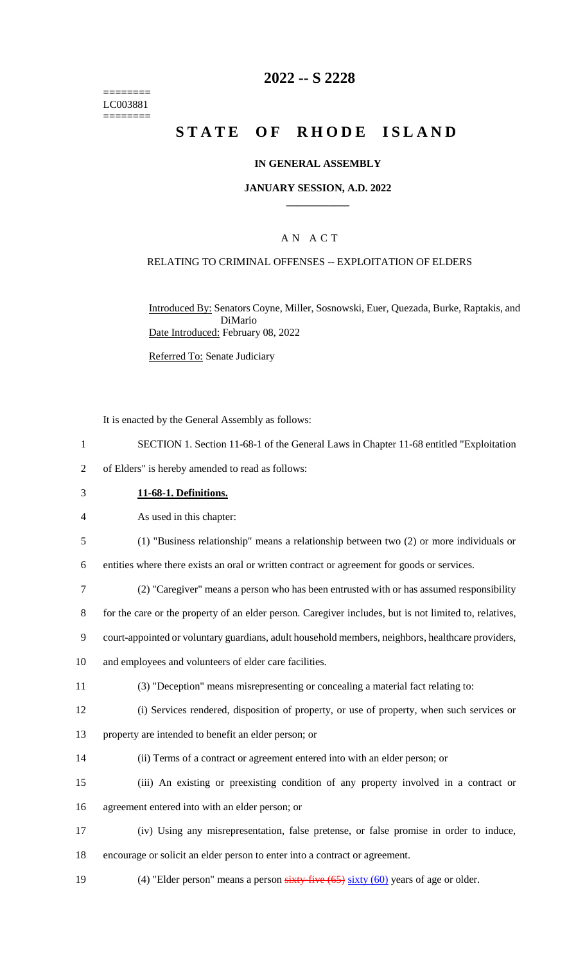======== LC003881 ========

### **2022 -- S 2228**

# **STATE OF RHODE ISLAND**

#### **IN GENERAL ASSEMBLY**

#### **JANUARY SESSION, A.D. 2022 \_\_\_\_\_\_\_\_\_\_\_\_**

### A N A C T

#### RELATING TO CRIMINAL OFFENSES -- EXPLOITATION OF ELDERS

Introduced By: Senators Coyne, Miller, Sosnowski, Euer, Quezada, Burke, Raptakis, and DiMario Date Introduced: February 08, 2022

Referred To: Senate Judiciary

It is enacted by the General Assembly as follows:

- 1 SECTION 1. Section 11-68-1 of the General Laws in Chapter 11-68 entitled "Exploitation
- 2 of Elders" is hereby amended to read as follows:
- 3 **11-68-1. Definitions.**

4 As used in this chapter:

5 (1) "Business relationship" means a relationship between two (2) or more individuals or

6 entities where there exists an oral or written contract or agreement for goods or services.

7 (2) "Caregiver" means a person who has been entrusted with or has assumed responsibility

8 for the care or the property of an elder person. Caregiver includes, but is not limited to, relatives,

9 court-appointed or voluntary guardians, adult household members, neighbors, healthcare providers,

10 and employees and volunteers of elder care facilities.

- 11 (3) "Deception" means misrepresenting or concealing a material fact relating to:
- 12 (i) Services rendered, disposition of property, or use of property, when such services or
- 13 property are intended to benefit an elder person; or
- 14 (ii) Terms of a contract or agreement entered into with an elder person; or

15 (iii) An existing or preexisting condition of any property involved in a contract or 16 agreement entered into with an elder person; or

- 17 (iv) Using any misrepresentation, false pretense, or false promise in order to induce, 18 encourage or solicit an elder person to enter into a contract or agreement.
- 19 (4) "Elder person" means a person sixty-five (65) sixty (60) years of age or older.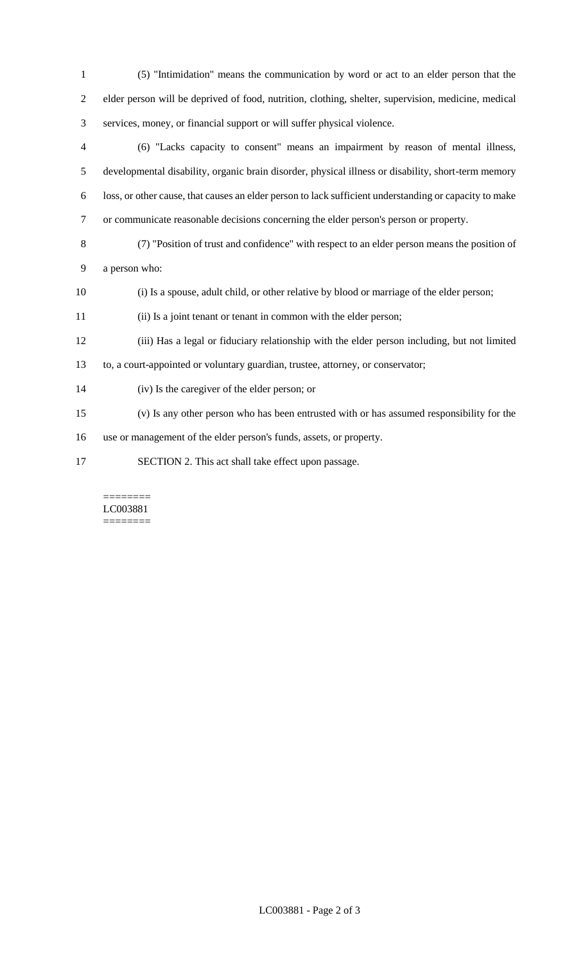| $\mathbf{1}$ | (5) "Intimidation" means the communication by word or act to an elder person that the                  |
|--------------|--------------------------------------------------------------------------------------------------------|
| 2            | elder person will be deprived of food, nutrition, clothing, shelter, supervision, medicine, medical    |
| 3            | services, money, or financial support or will suffer physical violence.                                |
| 4            | (6) "Lacks capacity to consent" means an impairment by reason of mental illness,                       |
| 5            | developmental disability, organic brain disorder, physical illness or disability, short-term memory    |
| 6            | loss, or other cause, that causes an elder person to lack sufficient understanding or capacity to make |
| $\tau$       | or communicate reasonable decisions concerning the elder person's person or property.                  |
| 8            | (7) "Position of trust and confidence" with respect to an elder person means the position of           |
| 9            | a person who:                                                                                          |
| 10           | (i) Is a spouse, adult child, or other relative by blood or marriage of the elder person;              |
| 11           | (ii) Is a joint tenant or tenant in common with the elder person;                                      |
| 12           | (iii) Has a legal or fiduciary relationship with the elder person including, but not limited           |
| 13           | to, a court-appointed or voluntary guardian, trustee, attorney, or conservator;                        |
| 14           | (iv) Is the caregiver of the elder person; or                                                          |
| 15           | (v) Is any other person who has been entrusted with or has assumed responsibility for the              |
| 16           | use or management of the elder person's funds, assets, or property.                                    |
| 17           | SECTION 2. This act shall take effect upon passage.                                                    |

#### ======== LC003881 ========